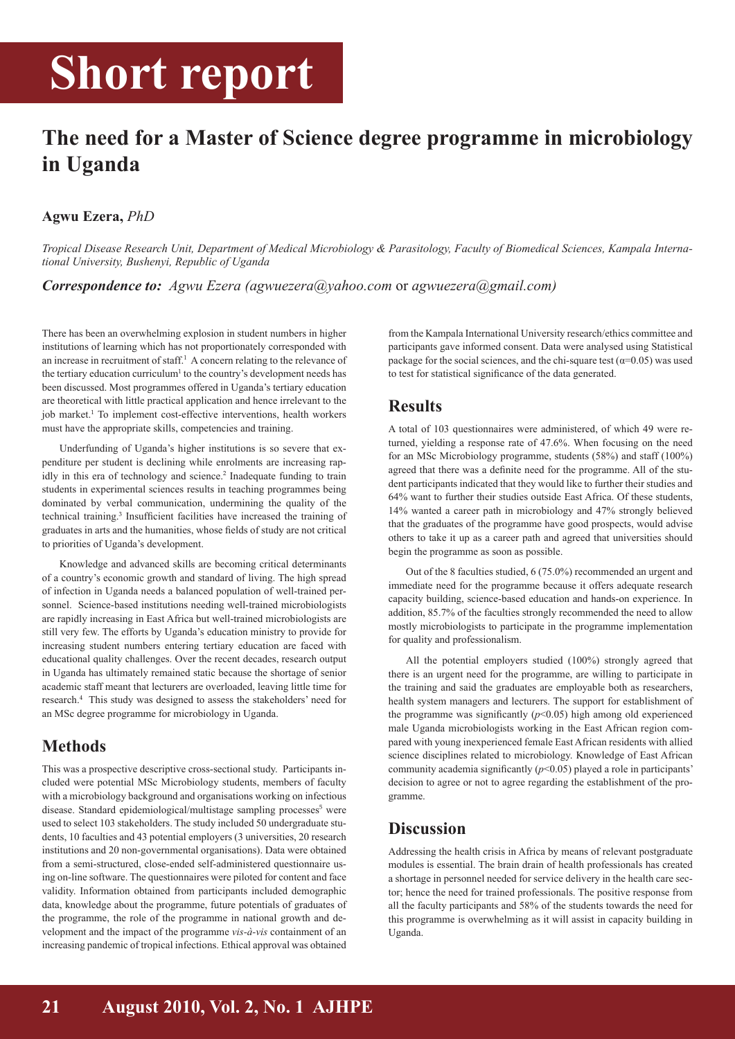## **Short report**

## **The need for a Master of Science degree programme in microbiology in Uganda**

#### **Agwu Ezera,** *PhD*

*Tropical Disease Research Unit, Department of Medical Microbiology & Parasitology, Faculty of Biomedical Sciences, Kampala International University, Bushenyi, Republic of Uganda*

*Correspondence to: Agwu Ezera (agwuezera@yahoo.com* or *agwuezera@gmail.com)*

There has been an overwhelming explosion in student numbers in higher institutions of learning which has not proportionately corresponded with an increase in recruitment of staff. $<sup>1</sup>$  A concern relating to the relevance of</sup> the tertiary education curriculum<sup>1</sup> to the country's development needs has been discussed. Most programmes offered in Uganda's tertiary education are theoretical with little practical application and hence irrelevant to the job market.<sup>1</sup> To implement cost-effective interventions, health workers must have the appropriate skills, competencies and training.

Underfunding of Uganda's higher institutions is so severe that expenditure per student is declining while enrolments are increasing rapidly in this era of technology and science.<sup>2</sup> Inadequate funding to train students in experimental sciences results in teaching programmes being dominated by verbal communication, undermining the quality of the technical training.<sup>3</sup> Insufficient facilities have increased the training of graduates in arts and the humanities, whose fields of study are not critical to priorities of Uganda's development.

Knowledge and advanced skills are becoming critical determinants of a country's economic growth and standard of living. The high spread of infection in Uganda needs a balanced population of well-trained personnel. Science-based institutions needing well-trained microbiologists are rapidly increasing in East Africa but well-trained microbiologists are still very few. The efforts by Uganda's education ministry to provide for increasing student numbers entering tertiary education are faced with educational quality challenges. Over the recent decades, research output in Uganda has ultimately remained static because the shortage of senior academic staff meant that lecturers are overloaded, leaving little time for research.<sup>4</sup> This study was designed to assess the stakeholders' need for an MSc degree programme for microbiology in Uganda.

## **Methods**

This was a prospective descriptive cross-sectional study. Participants included were potential MSc Microbiology students, members of faculty with a microbiology background and organisations working on infectious disease. Standard epidemiological/multistage sampling processes<sup>5</sup> were used to select 103 stakeholders. The study included 50 undergraduate students, 10 faculties and 43 potential employers (3 universities, 20 research institutions and 20 non-governmental organisations). Data were obtained from a semi-structured, close-ended self-administered questionnaire using on-line software. The questionnaires were piloted for content and face validity. Information obtained from participants included demographic data, knowledge about the programme, future potentials of graduates of the programme, the role of the programme in national growth and development and the impact of the programme *vis-à-vis* containment of an increasing pandemic of tropical infections. Ethical approval was obtained

from the Kampala International University research/ethics committee and participants gave informed consent. Data were analysed using Statistical package for the social sciences, and the chi-square test ( $\alpha$ =0.05) was used to test for statistical significance of the data generated.

### **Results**

A total of 103 questionnaires were administered, of which 49 were returned, yielding a response rate of 47.6%. When focusing on the need for an MSc Microbiology programme, students (58%) and staff (100%) agreed that there was a definite need for the programme. All of the student participants indicated that they would like to further their studies and 64% want to further their studies outside East Africa. Of these students, 14% wanted a career path in microbiology and 47% strongly believed that the graduates of the programme have good prospects, would advise others to take it up as a career path and agreed that universities should begin the programme as soon as possible.

Out of the 8 faculties studied, 6 (75.0%) recommended an urgent and immediate need for the programme because it offers adequate research capacity building, science-based education and hands-on experience. In addition, 85.7% of the faculties strongly recommended the need to allow mostly microbiologists to participate in the programme implementation for quality and professionalism.

All the potential employers studied (100%) strongly agreed that there is an urgent need for the programme, are willing to participate in the training and said the graduates are employable both as researchers, health system managers and lecturers. The support for establishment of the programme was significantly  $(p<0.05)$  high among old experienced male Uganda microbiologists working in the East African region compared with young inexperienced female East African residents with allied science disciplines related to microbiology. Knowledge of East African community academia significantly (*p*<0.05) played a role in participants' decision to agree or not to agree regarding the establishment of the programme.

## **Discussion**

Addressing the health crisis in Africa by means of relevant postgraduate modules is essential. The brain drain of health professionals has created a shortage in personnel needed for service delivery in the health care sector; hence the need for trained professionals. The positive response from all the faculty participants and 58% of the students towards the need for this programme is overwhelming as it will assist in capacity building in Uganda.